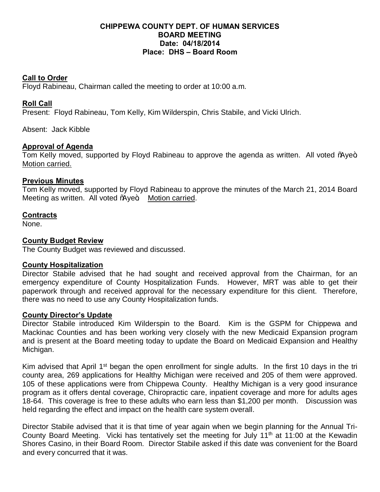## **CHIPPEWA COUNTY DEPT. OF HUMAN SERVICES BOARD MEETING Date: 04/18/2014 Place: DHS – Board Room**

## **Call to Order**

Floyd Rabineau, Chairman called the meeting to order at 10:00 a.m.

# **Roll Call**

Present: Floyd Rabineau, Tom Kelly, Kim Wilderspin, Chris Stabile, and Vicki Ulrich.

Absent: Jack Kibble

## **Approval of Agenda**

Tom Kelly moved, supported by Floyd Rabineau to approve the agenda as written. All voted % we+ Motion carried.

#### **Previous Minutes**

Tom Kelly moved, supported by Floyd Rabineau to approve the minutes of the March 21, 2014 Board Meeting as written. All voted % ye+. Motion carried.

## **Contracts**

None.

## **County Budget Review**

The County Budget was reviewed and discussed.

#### **County Hospitalization**

Director Stabile advised that he had sought and received approval from the Chairman, for an emergency expenditure of County Hospitalization Funds. However, MRT was able to get their paperwork through and received approval for the necessary expenditure for this client. Therefore, there was no need to use any County Hospitalization funds.

#### **County Director's Update**

Director Stabile introduced Kim Wilderspin to the Board. Kim is the GSPM for Chippewa and Mackinac Counties and has been working very closely with the new Medicaid Expansion program and is present at the Board meeting today to update the Board on Medicaid Expansion and Healthy Michigan.

Kim advised that April 1<sup>st</sup> began the open enrollment for single adults. In the first 10 days in the tri county area, 269 applications for Healthy Michigan were received and 205 of them were approved. 105 of these applications were from Chippewa County. Healthy Michigan is a very good insurance program as it offers dental coverage, Chiropractic care, inpatient coverage and more for adults ages 18-64. This coverage is free to these adults who earn less than \$1,200 per month. Discussion was held regarding the effect and impact on the health care system overall.

Director Stabile advised that it is that time of year again when we begin planning for the Annual Tri-County Board Meeting. Vicki has tentatively set the meeting for July 11<sup>th</sup> at 11:00 at the Kewadin Shores Casino, in their Board Room. Director Stabile asked if this date was convenient for the Board and every concurred that it was.